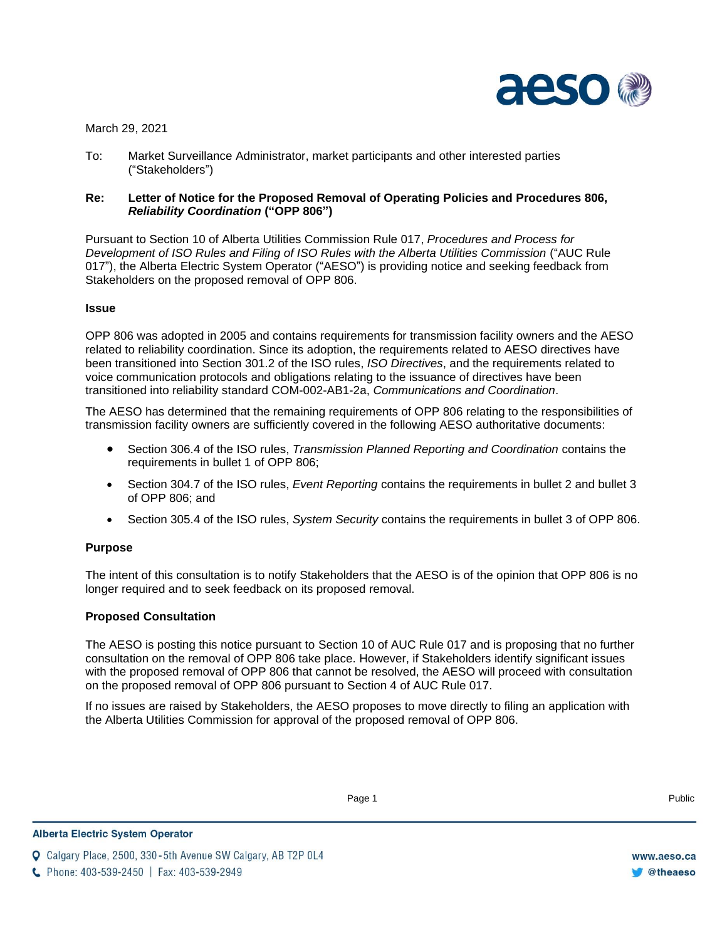

March 29, 2021

To: Market Surveillance Administrator, market participants and other interested parties ("Stakeholders")

### **Re: Letter of Notice for the Proposed Removal of Operating Policies and Procedures 806,**  *Reliability Coordination* **("OPP 806")**

Pursuant to Section 10 of Alberta Utilities Commission Rule 017, *Procedures and Process for Development of ISO Rules and Filing of ISO Rules with the Alberta Utilities Commission* ("AUC Rule 017"), the Alberta Electric System Operator ("AESO") is providing notice and seeking feedback from Stakeholders on the proposed removal of OPP 806.

#### **Issue**

OPP 806 was adopted in 2005 and contains requirements for transmission facility owners and the AESO related to reliability coordination. Since its adoption, the requirements related to AESO directives have been transitioned into Section 301.2 of the ISO rules, *ISO Directives*, and the requirements related to voice communication protocols and obligations relating to the issuance of directives have been transitioned into reliability standard COM-002-AB1-2a, *Communications and Coordination*.

The AESO has determined that the remaining requirements of OPP 806 relating to the responsibilities of transmission facility owners are sufficiently covered in the following AESO authoritative documents:

- Section 306.4 of the ISO rules, *Transmission Planned Reporting and Coordination* contains the requirements in bullet 1 of OPP 806;
- Section 304.7 of the ISO rules, *Event Reporting* contains the requirements in bullet 2 and bullet 3 of OPP 806; and
- Section 305.4 of the ISO rules, *System Security* contains the requirements in bullet 3 of OPP 806.

#### **Purpose**

The intent of this consultation is to notify Stakeholders that the AESO is of the opinion that OPP 806 is no longer required and to seek feedback on its proposed removal.

# **Proposed Consultation**

The AESO is posting this notice pursuant to Section 10 of AUC Rule 017 and is proposing that no further consultation on the removal of OPP 806 take place. However, if Stakeholders identify significant issues with the proposed removal of OPP 806 that cannot be resolved, the AESO will proceed with consultation on the proposed removal of OPP 806 pursuant to Section 4 of AUC Rule 017.

If no issues are raised by Stakeholders, the AESO proposes to move directly to filing an application with the Alberta Utilities Commission for approval of the proposed removal of OPP 806.

Enter Football and the Public Page 1 and the Public Public Public Public Public Public Public Public Public Public Public Public Public Public Public Public Public Public Public Public Public Public Public Public Public Pu

**Q** Calgary Place, 2500, 330-5th Avenue SW Calgary, AB T2P 0L4

C Phone: 403-539-2450 | Fax: 403-539-2949